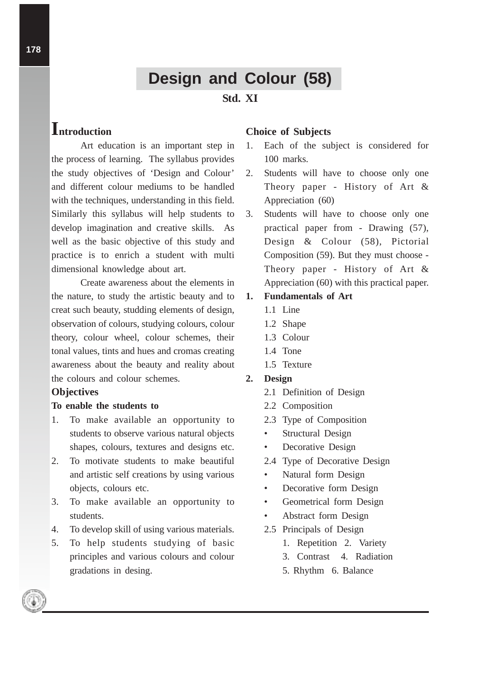# **Design and Colour (58)**

## **Std. XI**

## **Introduction**

Art education is an important step in the process of learning. The syllabus provides the study objectives of 'Design and Colour' and different colour mediums to be handled with the techniques, understanding in this field. Similarly this syllabus will help students to develop imagination and creative skills. As well as the basic objective of this study and practice is to enrich a student with multi dimensional knowledge about art.

Create awareness about the elements in the nature, to study the artistic beauty and to creat such beauty, studding elements of design, observation of colours, studying colours, colour theory, colour wheel, colour schemes, their tonal values, tints and hues and cromas creating awareness about the beauty and reality about the colours and colour schemes.

#### **Objectives**

#### **To enable the students to**

- 1. To make available an opportunity to students to observe various natural objects shapes, colours, textures and designs etc.
- 2. To motivate students to make beautiful and artistic self creations by using various objects, colours etc.
- 3. To make available an opportunity to students.
- 4. To develop skill of using various materials.
- 5. To help students studying of basic principles and various colours and colour gradations in desing.

#### **Choice of Subjects**

- 1. Each of the subject is considered for 100 marks.
- 2. Students will have to choose only one Theory paper - History of Art & Appreciation (60)
- 3. Students will have to choose only one practical paper from - Drawing (57), Design & Colour (58), Pictorial Composition (59). But they must choose - Theory paper - History of Art & Appreciation (60) with this practical paper.

## **1. Fundamentals of Art**

- 1.1 Line
- 1.2 Shape
- 1.3 Colour
- 1.4 Tone
- 1.5 Texture

#### **2. Design**

- 2.1 Definition of Design
- 2.2 Composition
- 2.3 Type of Composition
- Structural Design
- Decorative Design
- 2.4 Type of Decorative Design
- Natural form Design
- Decorative form Design
- Geometrical form Design
- Abstract form Design
- 2.5 Principals of Design
	- 1. Repetition 2. Variety
	- 3. Contrast 4. Radiation
	- 5. Rhythm 6. Balance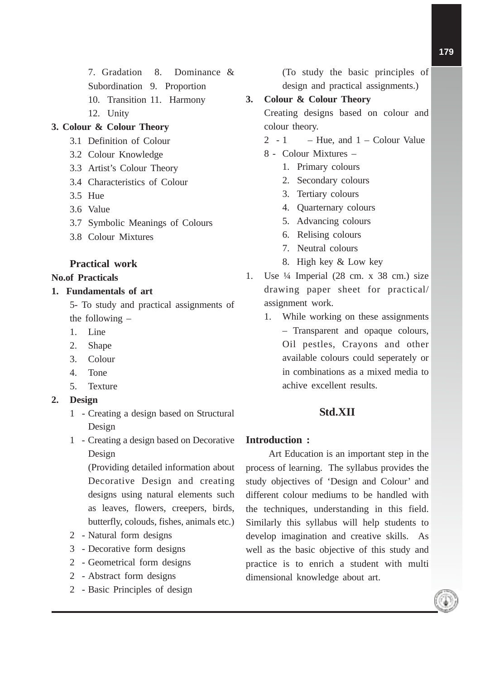7. Gradation 8. Dominance & Subordination 9. Proportion 10. Transition 11. Harmony

12. Unity

## **3. Colour & Colour Theory**

- 3.1 Definition of Colour
- 3.2 Colour Knowledge
- 3.3 Artist's Colour Theory
- 3.4 Characteristics of Colour
- 3.5 Hue
- 3.6 Value
- 3.7 Symbolic Meanings of Colours
- 3.8 Colour Mixtures

## **Practical work**

#### **No.of Practicals**

## **1. Fundamentals of art**

- 5- To study and practical assignments of the following –
- 1. Line
- 2. Shape
- 3. Colour
- 4. Tone
- 5. Texture
- **2. Design**
	- 1 Creating a design based on Structural Design
	- 1 Creating a design based on Decorative Design

(Providing detailed information about Decorative Design and creating designs using natural elements such as leaves, flowers, creepers, birds, butterfly, colouds, fishes, animals etc.)

- 2 Natural form designs
- 3 Decorative form designs
- 2 Geometrical form designs
- 2 Abstract form designs
- 2 Basic Principles of design

(To study the basic principles of design and practical assignments.)

### **3. Colour & Colour Theory**

Creating designs based on colour and colour theory.

- 2 1 Hue, and  $1 -$  Colour Value
- 8 Colour Mixtures
	- 1. Primary colours
	- 2. Secondary colours
	- 3. Tertiary colours
	- 4. Quarternary colours
	- 5. Advancing colours
	- 6. Relising colours
	- 7. Neutral colours
	- 8. High key & Low key
- 1. Use ¼ Imperial (28 cm. x 38 cm.) size drawing paper sheet for practical/ assignment work.
	- 1. While working on these assignments – Transparent and opaque colours, Oil pestles, Crayons and other available colours could seperately or in combinations as a mixed media to achive excellent results.

## **Std.XII**

#### **Introduction :**

Art Education is an important step in the process of learning. The syllabus provides the study objectives of 'Design and Colour' and different colour mediums to be handled with the techniques, understanding in this field. Similarly this syllabus will help students to develop imagination and creative skills. As well as the basic objective of this study and practice is to enrich a student with multi dimensional knowledge about art.

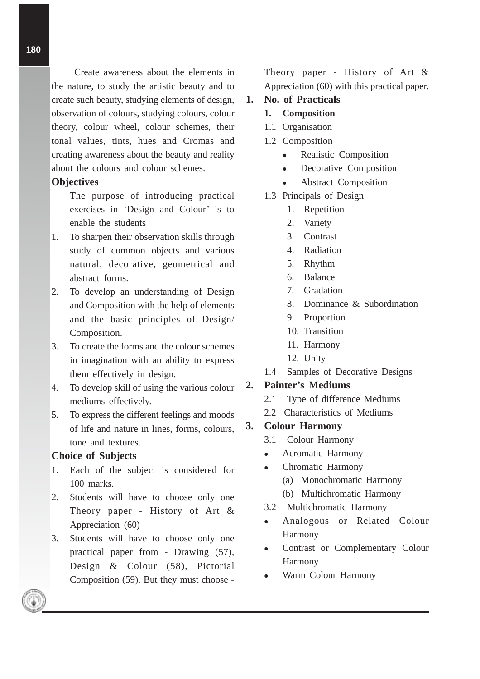Create awareness about the elements in the nature, to study the artistic beauty and to create such beauty, studying elements of design, observation of colours, studying colours, colour theory, colour wheel, colour schemes, their tonal values, tints, hues and Cromas and creating awareness about the beauty and reality about the colours and colour schemes.

#### **Objectives**

- The purpose of introducing practical exercises in 'Design and Colour' is to enable the students
- 1. To sharpen their observation skills through study of common objects and various natural, decorative, geometrical and abstract forms.
- 2. To develop an understanding of Design and Composition with the help of elements and the basic principles of Design/ Composition.
- 3. To create the forms and the colour schemes in imagination with an ability to express them effectively in design.
- 4. To develop skill of using the various colour mediums effectively.
- 5. To express the different feelings and moods of life and nature in lines, forms, colours, tone and textures.

#### **Choice of Subjects**

- 1. Each of the subject is considered for 100 marks.
- 2. Students will have to choose only one Theory paper - History of Art & Appreciation (60)
- 3. Students will have to choose only one practical paper from - Drawing (57), Design & Colour (58), Pictorial Composition (59). But they must choose -

Theory paper - History of Art & Appreciation (60) with this practical paper.

#### **1. No. of Practicals**

- **1. Composition**
- 1.1 Organisation
- 1.2 Composition
	- Realistic Composition
	- Decorative Composition
	- Abstract Composition
- 1.3 Principals of Design
	- 1. Repetition
	- 2. Variety
	- 3. Contrast
	- 4. Radiation
	- 5. Rhythm
	- 6. Balance
	- 7. Gradation
	- 8. Dominance & Subordination
	- 9. Proportion
	- 10. Transition
	- 11. Harmony
	- 12. Unity
- 1.4 Samples of Decorative Designs

## **2. Painter's Mediums**

- 2.1 Type of difference Mediums
- 2.2 Characteristics of Mediums

#### **3. Colour Harmony**

- 3.1 Colour Harmony
- Acromatic Harmony
- Chromatic Harmony
	- (a) Monochromatic Harmony
	- (b) Multichromatic Harmony
- 3.2 Multichromatic Harmony
- Analogous or Related Colour Harmony
- Contrast or Complementary Colour Harmony
- Warm Colour Harmony